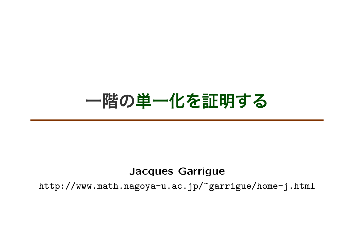# **一階の単一化を証明する**

#### **Jacques Garrigue**

http://www.math.nagoya-u.ac.jp/~garrigue/home-j.html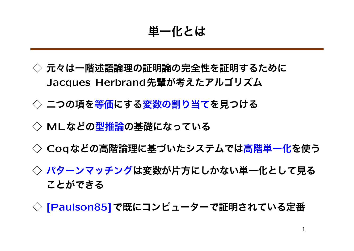**単一化とは**

- **◇ 元々は一階述語論理の証明論の完全性を証明するために Jacques Herbrand先輩が考えたアルゴリズム**
- **◇ 二つの項を等価にする変数の割り当てを見つける**
- **◇ MLなどの型推論の基礎になっている**
- **◇ Coqなどの高階論理に基づいたシステムでは高階単一化を使う**
- **◇ パターンマッチングは変数が片方にしかない単一化として見る ことができる**
- **◇ [Paulson85]で既にコンピューターで証明されている定番**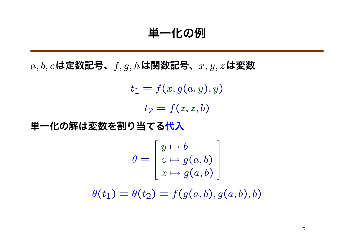**単一化の例**

*a, b, c***は定数記号、***f, g, h***は関数記号、***x, y, z***は変数**

 $t_1 = f(x, g(a, y), y)$  $t_2 = f(z, z, b)$ 

**単一化の解は変数を割り当てる代入**

$$
\theta = \begin{bmatrix} y \mapsto b \\ z \mapsto g(a, b) \\ x \mapsto g(a, b) \end{bmatrix}
$$

$$
\theta(t_1) = \theta(t_2) = f(g(a, b), g(a, b), b)
$$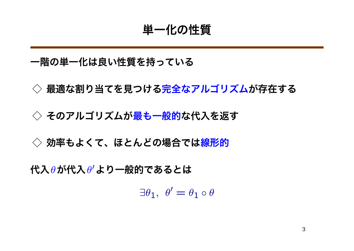#### **単一化の性質**

#### **一階の単一化は良い性質を持っている**

**◇ 最適な割り当てを見つける完全なアルゴリズムが存在する**

**◇ そのアルゴリズムが最も一般的な代入を返す**

**◇ 効率もよくて、ほとんどの場合では線形的**

**代入***θ***が代入***θ 0***より一般的であるとは**

 $\exists \theta_1, \ \theta' = \theta_1 \circ \theta$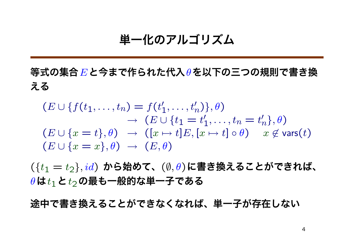#### **単一化のアルゴリズム**

**等式の集合***E***と今まで作られた代入***θ***を以下の三つの規則で書き換 える**

$$
(E \cup \{f(t_1, \ldots, t_n) = f(t'_1, \ldots, t'_n)\}, \theta)
$$
  
\n
$$
\rightarrow (E \cup \{t_1 = t'_1, \ldots, t_n = t'_n\}, \theta)
$$
  
\n
$$
(E \cup \{x = t\}, \theta) \rightarrow ([x \mapsto t]E, [x \mapsto t] \circ \theta) \quad x \notin \text{vars}(t)
$$
  
\n
$$
(E \cup \{x = x\}, \theta) \rightarrow (E, \theta)
$$

(*{t*<sup>1</sup> = *t*2*},id*) **から始めて、**(*∅, θ*)**に書き換えることができれば、** *θ***は***t*1**と***t*2**の最も一般的な単一子である**

**途中で書き換えることができなくなれば、単一子が存在しない**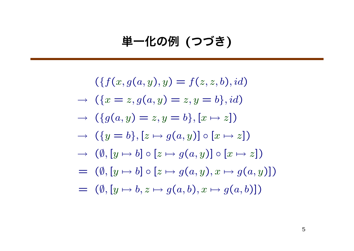# **単一化の例 (つづき)**

$$
(\{f(x, g(a, y), y) = f(z, z, b), id\})
$$
  
\n
$$
\rightarrow (\{x = z, g(a, y) = z, y = b\}, id)
$$
  
\n
$$
\rightarrow (\{g(a, y) = z, y = b\}, [x \mapsto z])
$$
  
\n
$$
\rightarrow (\{y = b\}, [z \mapsto g(a, y)] \circ [x \mapsto z])
$$
  
\n
$$
\rightarrow (\emptyset, [y \mapsto b] \circ [z \mapsto g(a, y)] \circ [x \mapsto z])
$$
  
\n
$$
= (\emptyset, [y \mapsto b] \circ [z \mapsto g(a, y), x \mapsto g(a, y)])
$$
  
\n
$$
= (\emptyset, [y \mapsto b, z \mapsto g(a, b), x \mapsto g(a, b)])
$$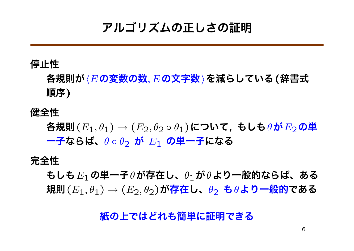# **アルゴリズムの正しさの証明**

#### **停止性**

**各規則が***hE***の変数の数***, E***の文字数***i***を減らしている(辞書式 順序)**

**健全性**

**各規則**(*E*1*, θ*1) *→* (*E*2*, θ*<sup>2</sup> *◦ θ*1)**について, もしも***θ***が***E*2**の単 一子ならば、***θ ◦ θ*<sup>2</sup> **が** *E*<sup>1</sup> **の単一子になる**

**完全性**

**もしも***E*1**の単一子***θ***が存在し、***θ*1**が***θ***より一般的ならば、ある 規則**(*E*1*, θ*1) *→* (*E*2*, θ*2)**が存在し、***θ*<sup>2</sup> **も***θ***より一般的である**

**紙の上ではどれも簡単に証明できる**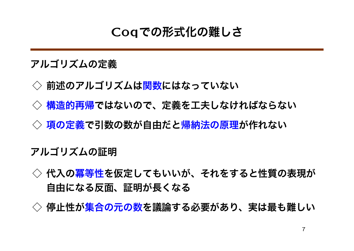# **Coqでの形式化の難しさ**

**アルゴリズムの定義**

- **◇ 前述のアルゴリズムは関数にはなっていない**
- **◇ 構造的再帰ではないので、定義を工夫しなければならない**
- **◇ 項の定義で引数の数が自由だと帰納法の原理が作れない**

**アルゴリズムの証明**

- **◇ 代入の冪等性を仮定してもいいが、それをすると性質の表現が 自由になる反面、証明が長くなる**
- **◇ 停止性が集合の元の数を議論する必要があり、実は最も難しい**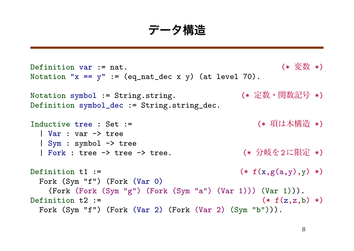**データ構造**

```
Definition var := nat. (x \circ \sqrt{\frac{dy}{dx}})Notation "x == y" := (eq_nat_dec x y) (at level 70).
Notation symbol := String.string. (* 定数・関数記号 *)
Definition symbol_dec := String.string_dec.
Inductive tree : Set := (* 項は木構造 *)
 | Var : var -> tree
 | Sym : symbol -> tree
 | Fork : tree -> tree -> tree. (* 分岐を2に限定 *)
Definition t1 := (* f(x,g(a,y),y) *)Fork (Sym "f") (Fork (Var 0)
   (Fork (Fork (Sym "g") (Fork (Sym "a") (Var 1))) (Var 1))).
Definition t2 := (* f(z, z, b) *)
 Fork (Sym "f") (Fork (Var 2) (Fork (Var 2) (Sym "b"))).
```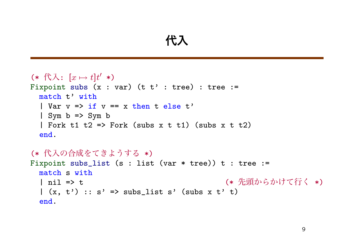### **代入**

```
(* 代入: [x \mapsto t]t' *)
Fixpoint subs (x : var) (t t' : tree) : tree :=
 match t' with
  | Var v \Rightarrow if v == x then t else t'
  \mid Sym b => Sym b
  | Fork t1 t2 => Fork (subs x t t1) (subs x t t2)
  end.
(* 代入の合成をてきようする *)
Fixpoint subs_list (s : list (var * tree)) t : tree :=
 match s with
  | nil => t                (* 先頭からかけて行く *)
  |(x, t')|: s' => subs_list s' (subs x t' t)
  end.
```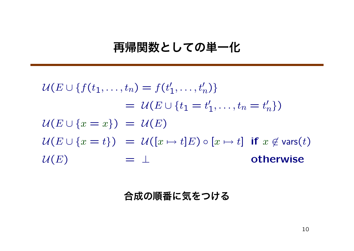### **再帰関数としての単一化**

$$
\mathcal{U}(E \cup \{f(t_1, \dots, t_n) = f(t'_1, \dots, t'_n)\}\
$$

$$
= \mathcal{U}(E \cup \{t_1 = t'_1, \dots, t_n = t'_n\})
$$

$$
\mathcal{U}(E \cup \{x = x\}) = \mathcal{U}(E)
$$

$$
\mathcal{U}(E \cup \{x = t\}) = \mathcal{U}([x \mapsto t]E) \circ [x \mapsto t] \text{ if } x \notin \text{vars}(t)
$$

$$
\mathcal{U}(E) = \perp \text{otherwise}
$$

#### **合成の順番に気をつける**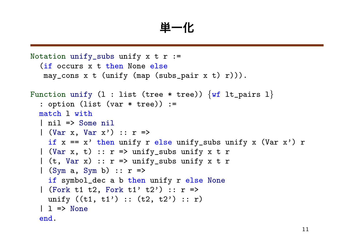**単一化**

```
Notation unify_subs unify x + r :=(if occurs x t then None else
   may_cons x t (unify (map (subs_pair x t) r))).
Function unify (l : list (tree * tree)) {wf lt_pairs l}
  : option (list (var * tree)) :=
  match l with
  | nil => Some nil
  | (Var x, Var x') :: r \Rightarrowif x == x' then unify r else unify_subs unify x (Var x') r
  | (Var x, t) :: r \Rightarrow unify_subs unify x t r
  | (t, Var x) :: r \Rightarrow unify_subs unify x t r
  | (Sym a, Sym b) :: r \Rightarrowif symbol_dec a b then unify r else None
  | (Fork t1 t2, Fork t1' t2') :: r \Rightarrowunify ((t1, t1') :: (t2, t2') :: r)| 1 \Rightarrow None
  end.
```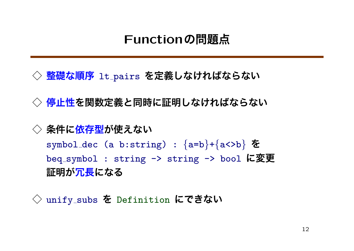### **Functionの問題点**

 $\Diamond$  整礎な順序 lt\_pairs を定義しなければならない

**◇ 停止性を関数定義と同時に証明しなければならない**

#### **◇ 条件に依存型が使えない**

symbol dec (a b:string) : *{*a=b*}*+*{*a<>b*}* **を** beq symbol : string -> string -> bool **に変更 証明が冗長になる**

**◇** unify subs **を** Definition **にできない**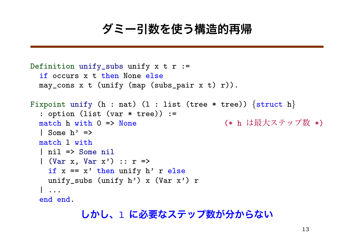## **ダミー引数を使う構造的再帰**

```
Definition unify_subs unify x + r :=if occurs x t then None else
 may_{cons} x t (unify (map (subs pair x t) r)).
Fixpoint unify (h : nat) (l : list (tree * tree)) {struct h}
  : option (list (var * tree)) :=
 match h with 0 => None (* h は最大ステップ数 *)
  | Some h' =>
 match l with
  | nil => Some nil
  | (Var x, Var x') :: r =>
   if x == x' then unify h' r else
   unify_subs (unify h') x (Var x') r
  | ...
 end end.
```
#### **しかし、**l **に必要なステップ数が分からない**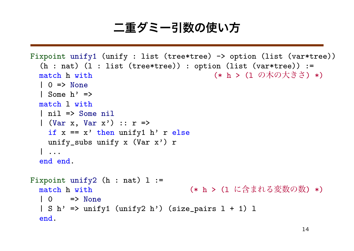# **二重ダミー引数の使い方**

```
Fixpoint unify1 (unify : list (tree*tree) -> option (list (var*tree))
  (h : nat) (1 : list (tree*tree)) : option (list (var*tree)) :=match h with ( * h > ( 0 \mathcal{N} \mathcal{D} \times \mathcal{S}^2) *)
  | 0 \Rightarrow None
  | Some h' =>
 match l with
  | nil => Some nil
  | (Var x, Var x') :: r =>
    if x == x' then unify1 h' r else
   unify_subs unify x (Var x') r
  | ...
  end end.
Fixpoint unify2 (h : nat) 1 :=match h with ( * h > (1 に含まれる変数の数) *)
  | 0 \rangle => None
  | S h' => unify1 (unify2 h') (size_pairs 1 + 1) 1
  end.
```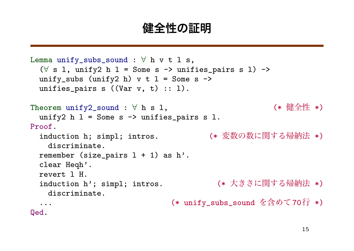#### **健全性の証明**

```
Lemma unify_subs_sound : ∀ h v t l s,
  (∀ s l, unify2 h l = Some s -> unifies_pairs s l) ->
 unify_subs (unify2 h) v t l = Some s ->
 unifies_pairs s ((Var v, t) :: 1).
Theorem unify2_sound : ∀ h s 1, ( * 健全性 *)
 unify2 h 1 = Some s \rightarrow unifies_pairs s 1.
Proof.
 induction h; simpl; intros. (* 変数の数に関する帰納法 *)
   discriminate.
 remember (size_pairs 1 + 1) as h'.
 clear Heqh'.
 revert l H.
 induction h'; simpl; intros. (* 大きさに関する帰納法 *)
   discriminate.
  ... (* unify_subs_sound を含めて70行 *)
Qed.
```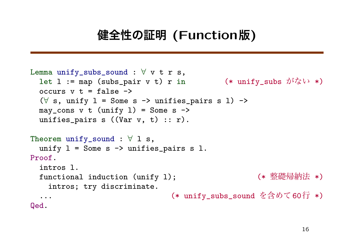# **健全性の証明 (Function版)**

```
Lemma unify_subs_sound : \forall v t r s,
  let l := map (subs_pair v t) r in (*) unify_subs \hat{\mathcal{D}}^{\dagger}(\cdot) *)
  occurs v t = false \rightarrow(∀ s, unify l = Some s -> unifies_pairs s l) ->
  may_cons v t (unify 1) = Some s \rightarrowunifies_pairs s ((Var v, t) :: r).
Theorem unify_sound : ∀ l s,
  unify l = Some s \rightarrow unifies-pairs s l.Proof.
  intros l.
  functional induction (unify l); (* 整礎帰納法 *)
    intros; try discriminate.
  ... (* unify_subs_sound を含めて60行 *)
Qed.
```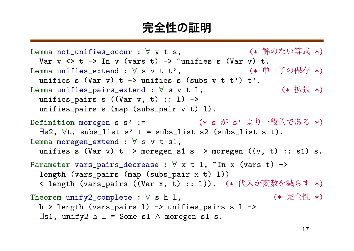#### **完全性の証明**

Lemma not\_unifies\_occur : ∀ v t s, (\* 解のない等式 \*) Var  $v \leftrightarrow t \rightarrow \text{In } v \text{ (vars } t) \rightarrow \text{ "unifies s (Var } v) t.$ Lemma unifies\_extend : ∀ s v t t', (\* 単一子の保存 \*) unifies s (Var v) t  $\rightarrow$  unifies s (subs v t t') t'. Lemma unifies\_pairs\_extend : ∀ s v t l, (\* 拡張 \*) unifies\_pairs s  $((Var v, t) :: 1)$  -> unifies\_pairs s (map (subs\_pair v t) l). Definition moregen s s' := (\* s が s' より一般的である \*) *∃*s2, *∀*t, subs\_list s' t = subs\_list s2 (subs\_list s t). Lemma moregen\_extend : *∀* s v t s1, unifies s (Var v)  $t \rightarrow$  moregen s1 s  $\rightarrow$  moregen ((v,  $t$ ) :: s1) s. Parameter vars\_pairs\_decrease : *∀* x t l, ~In x (vars t) -> length (vars\_pairs (map (subs\_pair x t) l)) < length (vars\_pairs ((Var x, t) :: l)). (\* 代入が変数を減らす \*) Theorem unify2\_complete : ∀ s h l, (\* 完全性 \*) h > length (vars\_pairs l) -> unifies\_pairs s l -> *∃*s1, unify2 h l = Some s1 *∧* moregen s1 s.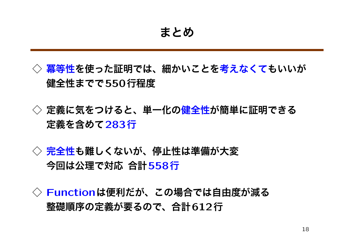- **◇ 冪等性を使った証明では、細かいことを考えなくてもいいが 健全性までで550行程度**
- **◇ 定義に気をつけると、単一化の健全性が簡単に証明できる 定義を含めて283行**
- **◇ 完全性も難しくないが、停止性は準備が大変 今回は公理で対応 合計558行**

**◇ Functionは便利だが、この場合では自由度が減る 整礎順序の定義が要るので、合計612行**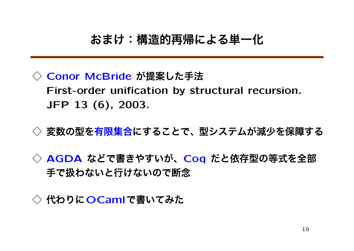### **おまけ:構造的再帰による単一化**

- **◇ Conor McBride が提案した手法 First-order unification by structural recursion. JFP 13 (6), 2003.**
- **◇ 変数の型を有限集合にすることで、型システムが減少を保障する**
- **◇ AGDA などで書きやすいが、Coq だと依存型の等式を全部 手で扱わないと行けないので断念**

**◇ 代わりにOCamlで書いてみた**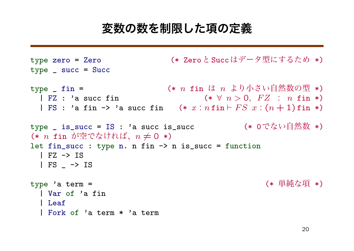### **変数の数を制限した項の定義**

```
type zero = Zero (* ZeroとSuccはデータ型にするため *)
type _ succ = Succ
type _ fin = (* n fin は n より小さい自然数の型 *)
 | FZ : 'a succ fin (* ∀ n > 0, F Z : n fin *)
 | FS : 'a fin \rightarrow 'a succ fin (* x : n fin \vdash FS x : (n + 1) fin *)
type _ is_succ = IS : 'a succ is_succ (* 0でない自然数 *)
(* n fin が空でなければ、n 6= 0 *)
let fin_succ : type n. n fin \rightarrow n is_succ = function
 | FZ -> IS
 | FS _ -> IS
type 'a term = (* 単純な項 *)
 | Var of 'a fin
 | Leaf
 | Fork of 'a term * 'a term
```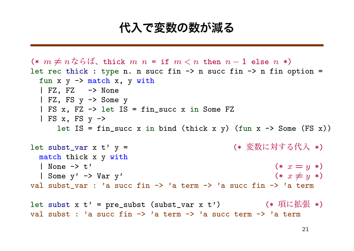### **代入で変数の数が減る**

```
(* m \neq n \land s \land \land', thick m n = \text{if } m < n \text{ then } n - 1 \text{ else } n \land slet rec thick : type n. n succ fin \rightarrow n succ fin \rightarrow n fin option =
  fun x \ y \rightarrow match x, y with
  | FZ, FZ -> None
  | FZ, FS y -> Some y
  | FS x, FZ -> let IS = fin_succ x in Some FZ
  | FS x, FS y \rightarrowlet IS = fin_succ x in bind (thick x y) (fun x \rightarrow Some (FS x))
let subst_var x t' y = (* 変数に対する代入 *)
  match thick x y with
  | None \to t' (* x = y *)
  |\text{Some } y' \rightarrow \text{Var } y' (* x \neq y *)
val subst var : 'a succ fin \rightarrow 'a term \rightarrow 'a succ fin \rightarrow 'a term
let subst x t' = pre_subst (subst_var x t') (*) (* 項に拡張 *)
val subst : 'a succ fin \rightarrow 'a term \rightarrow 'a succ term \rightarrow 'a term
```